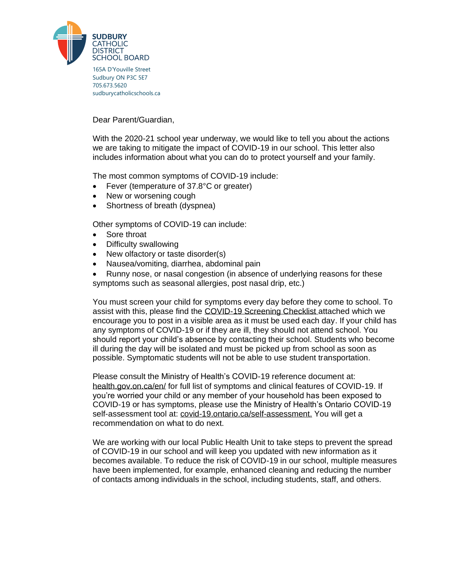

165A D'Youville Street Sudbury ON P3C 5E7 705.673.5620 [sudburycatholicschools.ca](http://www.sudburycatholicschools.ca/)

Dear Parent/Guardian,

With the 2020-21 school year underway, we would like to tell you about the actions we are taking to mitigate the impact of COVID-19 in our school. This letter also includes information about what you can do to protect yourself and your family.

The most common symptoms of COVID-19 include:

- Fever (temperature of 37.8°C or greater)
- New or worsening cough
- Shortness of breath (dyspnea)

Other symptoms of COVID-19 can include:

- Sore throat
- Difficulty swallowing
- New olfactory or taste disorder(s)
- Nausea/vomiting, diarrhea, abdominal pain
- Runny nose, or nasal congestion (in absence of underlying reasons for these symptoms such as seasonal allergies, post nasal drip, etc.)

You must screen your child for symptoms every day before they come to school. To assist with this, please find the COVID-19 Screening Checklist attached which we encourage you to post in a visible area as it must be used each day. If your child has any symptoms of COVID-19 or if they are ill, they should not attend school. You should report your child's absence by contacting their school. Students who become ill during the day will be isolated and must be picked up from school as soon as possible. Symptomatic students will not be able to use student transportation.

Please consult the Ministry of Health's COVID-19 reference document at: health.gov.on.ca/en/ for full list of symptoms and clinical features of COVID-19. If you're worried your child or any member of your household has been exposed to COVID-19 or has symptoms, please use the Ministry of Health's Ontario COVID-19 self-assessment tool at: covid-19.ontario.ca/self-assessment. You will get a recommendation on what to do next.

We are working with our local Public Health Unit to take steps to prevent the spread of COVID-19 in our school and will keep you updated with new information as it becomes available. To reduce the risk of COVID-19 in our school, multiple measures have been implemented, for example, enhanced cleaning and reducing the number of contacts among individuals in the school, including students, staff, and others.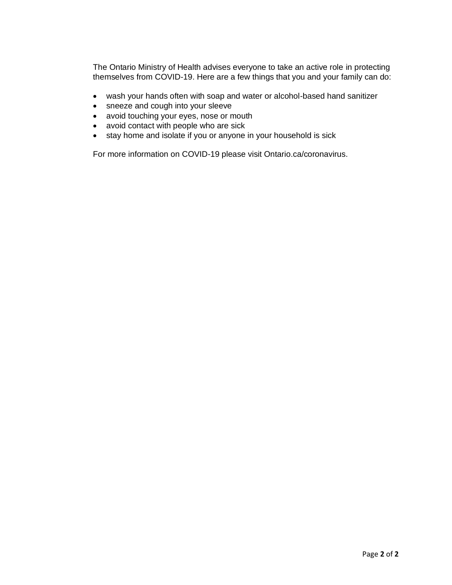The Ontario Ministry of Health advises everyone to take an active role in protecting themselves from COVID-19. Here are a few things that you and your family can do:

- wash your hands often with soap and water or alcohol-based hand sanitizer
- sneeze and cough into your sleeve
- avoid touching your eyes, nose or mouth
- avoid contact with people who are sick
- stay home and isolate if you or anyone in your household is sick

For more information on COVID-19 please visit Ontario.ca/coronavirus.